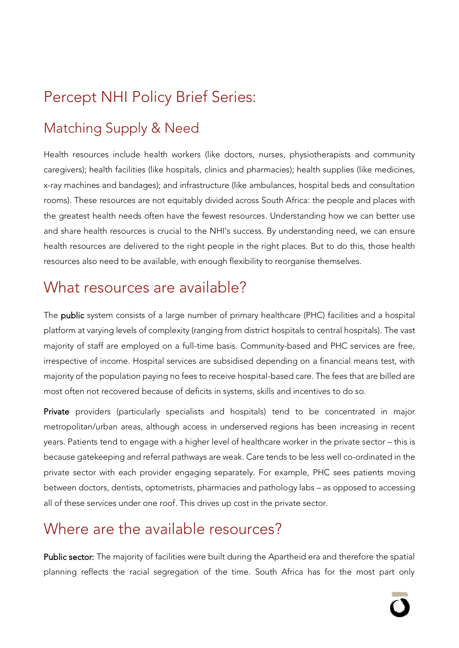# Percept NHI Policy Brief Series:

# Matching Supply & Need

Health resources include health workers (like doctors, nurses, physiotherapists and community caregivers); health facilities (like hospitals, clinics and pharmacies); health supplies (like medicines, x-ray machines and bandages); and infrastructure (like ambulances, hospital beds and consultation rooms). These resources are not equitably divided across South Africa: the people and places with the greatest health needs often have the fewest resources. Understanding how we can better use and share health resources is crucial to the NHI's success. By understanding need, we can ensure health resources are delivered to the right people in the right places. But to do this, those health resources also need to be available, with enough flexibility to reorganise themselves.

### What resources are available?

The **public** system consists of a large number of primary healthcare (PHC) facilities and a hospital platform at varying levels of complexity (ranging from district hospitals to central hospitals). The vast majority of staff are employed on a full-time basis. Community-based and PHC services are free, irrespective of income. Hospital services are subsidised depending on a financial means test, with majority of the population paying no fees to receive hospital-based care. The fees that are billed are most often not recovered because of deficits in systems, skills and incentives to do so.

Private providers (particularly specialists and hospitals) tend to be concentrated in major metropolitan/urban areas, although access in underserved regions has been increasing in recent years. Patients tend to engage with a higher level of healthcare worker in the private sector – this is because gatekeeping and referral pathways are weak. Care tends to be less well co-ordinated in the private sector with each provider engaging separately. For example, PHC sees patients moving between doctors, dentists, optometrists, pharmacies and pathology labs – as opposed to accessing all of these services under one roof. This drives up cost in the private sector.

# Where are the available resources?

Public sector: The majority of facilities were built during the Apartheid era and therefore the spatial planning reflects the racial segregation of the time. South Africa has for the most part only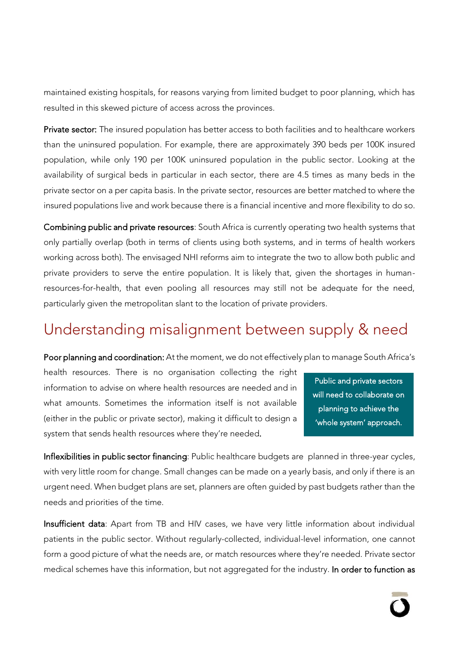maintained existing hospitals, for reasons varying from limited budget to poor planning, which has resulted in this skewed picture of access across the provinces.

Private sector: The insured population has better access to both facilities and to healthcare workers than the uninsured population. For example, there are approximately 390 beds per 100K insured population, while only 190 per 100K uninsured population in the public sector. Looking at the availability of surgical beds in particular in each sector, there are 4.5 times as many beds in the private sector on a per capita basis. In the private sector, resources are better matched to where the insured populations live and work because there is a financial incentive and more flexibility to do so.

Combining public and private resources: South Africa is currently operating two health systems that only partially overlap (both in terms of clients using both systems, and in terms of health workers working across both). The envisaged NHI reforms aim to integrate the two to allow both public and private providers to serve the entire population. It is likely that, given the shortages in humanresources-for-health, that even pooling all resources may still not be adequate for the need, particularly given the metropolitan slant to the location of private providers.

### Understanding misalignment between supply & need

Poor planning and coordination: At the moment, we do not effectively plan to manage South Africa's

health resources. There is no organisation collecting the right information to advise on where health resources are needed and in what amounts. Sometimes the information itself is not available (either in the public or private sector), making it difficult to design a system that sends health resources where they're needed.

Public and private sectors will need to collaborate on planning to achieve the 'whole system' approach.

Inflexibilities in public sector financing: Public healthcare budgets are planned in three-year cycles, with very little room for change. Small changes can be made on a yearly basis, and only if there is an urgent need. When budget plans are set, planners are often guided by past budgets rather than the needs and priorities of the time.

Insufficient data: Apart from TB and HIV cases, we have very little information about individual patients in the public sector. Without regularly-collected, individual-level information, one cannot form a good picture of what the needs are, or match resources where they're needed. Private sector medical schemes have this information, but not aggregated for the industry. In order to function as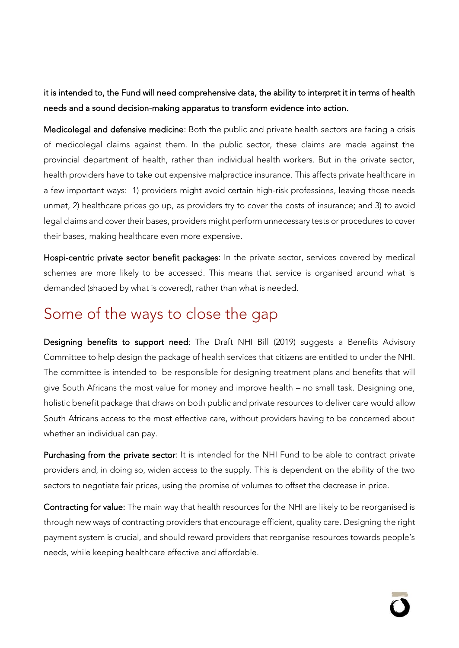it is intended to, the Fund will need comprehensive data, the ability to interpret it in terms of health needs and a sound decision-making apparatus to transform evidence into action.

Medicolegal and defensive medicine: Both the public and private health sectors are facing a crisis of medicolegal claims against them. In the public sector, these claims are made against the provincial department of health, rather than individual health workers. But in the private sector, health providers have to take out expensive malpractice insurance. This affects private healthcare in a few important ways: 1) providers might avoid certain high-risk professions, leaving those needs unmet, 2) healthcare prices go up, as providers try to cover the costs of insurance; and 3) to avoid legal claims and cover their bases, providers might perform unnecessary tests or procedures to cover their bases, making healthcare even more expensive.

Hospi-centric private sector benefit packages: In the private sector, services covered by medical schemes are more likely to be accessed. This means that service is organised around what is demanded (shaped by what is covered), rather than what is needed.

#### Some of the ways to close the gap

Designing benefits to support need: The Draft NHI Bill (2019) suggests a Benefits Advisory Committee to help design the package of health services that citizens are entitled to under the NHI. The committee is intended to be responsible for designing treatment plans and benefits that will give South Africans the most value for money and improve health – no small task. Designing one, holistic benefit package that draws on both public and private resources to deliver care would allow South Africans access to the most effective care, without providers having to be concerned about whether an individual can pay.

Purchasing from the private sector: It is intended for the NHI Fund to be able to contract private providers and, in doing so, widen access to the supply. This is dependent on the ability of the two sectors to negotiate fair prices, using the promise of volumes to offset the decrease in price.

Contracting for value: The main way that health resources for the NHI are likely to be reorganised is through new ways of contracting providers that encourage efficient, quality care. Designing the right payment system is crucial, and should reward providers that reorganise resources towards people's needs, while keeping healthcare effective and affordable.